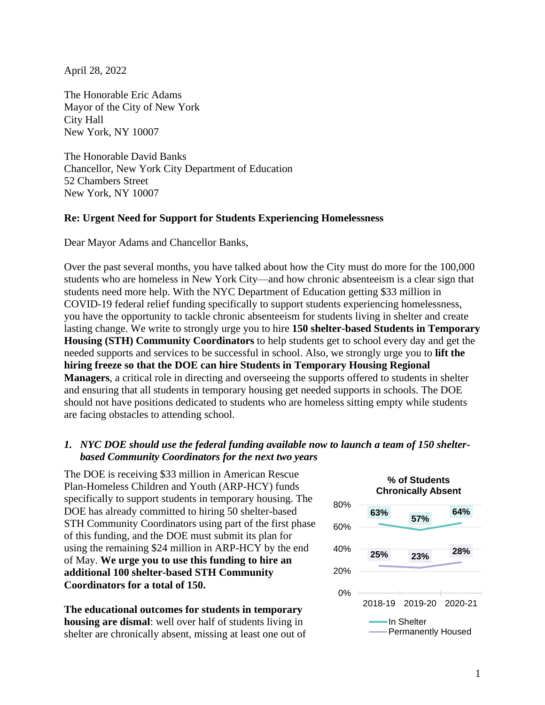April 28, 2022

The Honorable Eric Adams Mayor of the City of New York City Hall New York, NY 10007

The Honorable David Banks Chancellor, New York City Department of Education 52 Chambers Street New York, NY 10007

## **Re: Urgent Need for Support for Students Experiencing Homelessness**

Dear Mayor Adams and Chancellor Banks,

Over the past several months, you have talked about how the City must do more for the 100,000 students who are homeless in New York City—and how chronic absenteeism is a clear sign that students need more help. With the NYC Department of Education getting \$33 million in COVID-19 federal relief funding specifically to support students experiencing homelessness, you have the opportunity to tackle chronic absenteeism for students living in shelter and create lasting change. We write to strongly urge you to hire **150 shelter-based Students in Temporary Housing (STH) Community Coordinators** to help students get to school every day and get the needed supports and services to be successful in school. Also, we strongly urge you to **lift the hiring freeze so that the DOE can hire Students in Temporary Housing Regional Managers**, a critical role in directing and overseeing the supports offered to students in shelter and ensuring that all students in temporary housing get needed supports in schools. The DOE should not have positions dedicated to students who are homeless sitting empty while students are facing obstacles to attending school.

## *1. NYC DOE should use the federal funding available now to launch a team of 150 shelterbased Community Coordinators for the next two years*

The DOE is receiving \$33 million in American Rescue Plan-Homeless Children and Youth (ARP-HCY) funds specifically to support students in temporary housing. The DOE has already committed to hiring 50 shelter-based STH Community Coordinators using part of the first phase of this funding, and the DOE must submit its plan for using the remaining \$24 million in ARP-HCY by the end of May. **We urge you to use this funding to hire an additional 100 shelter-based STH Community Coordinators for a total of 150.**

**The educational outcomes for students in temporary housing are dismal**: well over half of students living in shelter are chronically absent, missing at least one out of

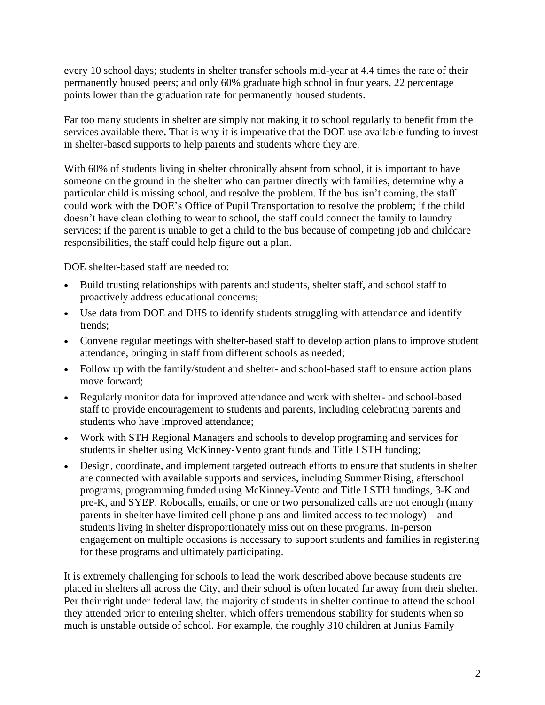every 10 school days; students in shelter transfer schools mid-year at 4.4 times the rate of their permanently housed peers; and only 60% graduate high school in four years, 22 percentage points lower than the graduation rate for permanently housed students.

Far too many students in shelter are simply not making it to school regularly to benefit from the services available there**.** That is why it is imperative that the DOE use available funding to invest in shelter-based supports to help parents and students where they are.

With 60% of students living in shelter chronically absent from school, it is important to have someone on the ground in the shelter who can partner directly with families, determine why a particular child is missing school, and resolve the problem. If the bus isn't coming, the staff could work with the DOE's Office of Pupil Transportation to resolve the problem; if the child doesn't have clean clothing to wear to school, the staff could connect the family to laundry services; if the parent is unable to get a child to the bus because of competing job and childcare responsibilities, the staff could help figure out a plan.

DOE shelter-based staff are needed to:

- Build trusting relationships with parents and students, shelter staff, and school staff to proactively address educational concerns;
- Use data from DOE and DHS to identify students struggling with attendance and identify trends;
- Convene regular meetings with shelter-based staff to develop action plans to improve student attendance, bringing in staff from different schools as needed;
- Follow up with the family/student and shelter- and school-based staff to ensure action plans move forward;
- Regularly monitor data for improved attendance and work with shelter- and school-based staff to provide encouragement to students and parents, including celebrating parents and students who have improved attendance;
- Work with STH Regional Managers and schools to develop programing and services for students in shelter using McKinney-Vento grant funds and Title I STH funding;
- Design, coordinate, and implement targeted outreach efforts to ensure that students in shelter are connected with available supports and services, including Summer Rising, afterschool programs, programming funded using McKinney-Vento and Title I STH fundings, 3-K and pre-K, and SYEP. Robocalls, emails, or one or two personalized calls are not enough (many parents in shelter have limited cell phone plans and limited access to technology)—and students living in shelter disproportionately miss out on these programs. In-person engagement on multiple occasions is necessary to support students and families in registering for these programs and ultimately participating.

It is extremely challenging for schools to lead the work described above because students are placed in shelters all across the City, and their school is often located far away from their shelter. Per their right under federal law, the majority of students in shelter continue to attend the school they attended prior to entering shelter, which offers tremendous stability for students when so much is unstable outside of school. For example, the roughly 310 children at Junius Family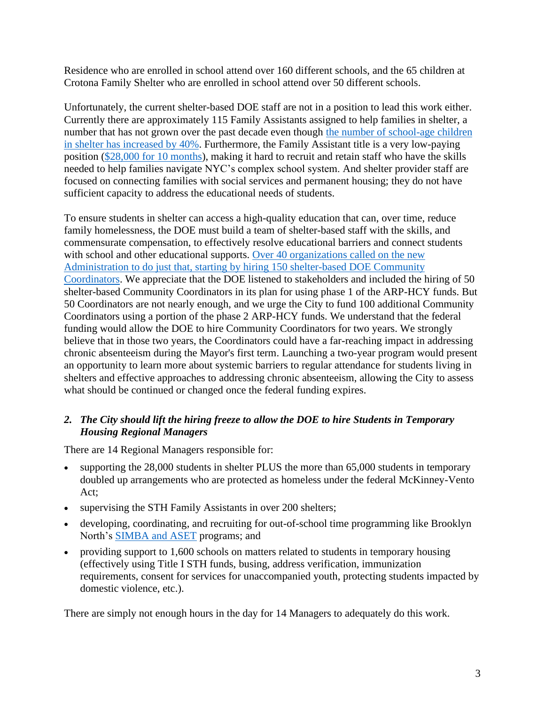Residence who are enrolled in school attend over 160 different schools, and the 65 children at Crotona Family Shelter who are enrolled in school attend over 50 different schools.

Unfortunately, the current shelter-based DOE staff are not in a position to lead this work either. Currently there are approximately 115 Family Assistants assigned to help families in shelter, a number that has not grown over the past decade even though the number of school-age children [in shelter has increased by 40%.](https://www.nysteachs.org/data-on-student-homelessness) Furthermore, the Family Assistant title is a very low-paying position [\(\\$28,000 for 10 months\)](https://www.uft.org/your-rights/salary/doe-and-city-salary-schedules/paraprofessionals-salary-schedule-2018-2021), making it hard to recruit and retain staff who have the skills needed to help families navigate NYC's complex school system. And shelter provider staff are focused on connecting families with social services and permanent housing; they do not have sufficient capacity to address the educational needs of students.

To ensure students in shelter can access a high-quality education that can, over time, reduce family homelessness, the DOE must build a team of shelter-based staff with the skills, and commensurate compensation, to effectively resolve educational barriers and connect students with school and other educational supports. [Over 40 organizations](https://www.advocatesforchildren.org/sites/default/files/library/sth_recommendations_next_admin_11.2021.pdf?pt=1) called on the new [Administration to do just that, starting by hiring 150 shelter-based DOE Community](https://www.advocatesforchildren.org/sites/default/files/library/sth_recommendations_next_admin_11.2021.pdf?pt=1)  [Coordinators.](https://www.advocatesforchildren.org/sites/default/files/library/sth_recommendations_next_admin_11.2021.pdf?pt=1) We appreciate that the DOE listened to stakeholders and included the hiring of 50 shelter-based Community Coordinators in its plan for using phase 1 of the ARP-HCY funds. But 50 Coordinators are not nearly enough, and we urge the City to fund 100 additional Community Coordinators using a portion of the phase 2 ARP-HCY funds. We understand that the federal funding would allow the DOE to hire Community Coordinators for two years. We strongly believe that in those two years, the Coordinators could have a far-reaching impact in addressing chronic absenteeism during the Mayor's first term. Launching a two-year program would present an opportunity to learn more about systemic barriers to regular attendance for students living in shelters and effective approaches to addressing chronic absenteeism, allowing the City to assess what should be continued or changed once the federal funding expires.

## *2. The City should lift the hiring freeze to allow the DOE to hire Students in Temporary Housing Regional Managers*

There are 14 Regional Managers responsible for:

- supporting the 28,000 students in shelter PLUS the more than 65,000 students in temporary doubled up arrangements who are protected as homeless under the federal McKinney-Vento Act;
- supervising the STH Family Assistants in over 200 shelters;
- developing, coordinating, and recruiting for out-of-school time programming like Brooklyn North's [SIMBA and ASET](https://www.nydailynews.com/new-york/education/ny-metro-champion-for-brooklyns-homeless-high-school-kids-20181102-story.html) programs; and
- providing support to 1,600 schools on matters related to students in temporary housing (effectively using Title I STH funds, busing, address verification, immunization requirements, consent for services for unaccompanied youth, protecting students impacted by domestic violence, etc.).

There are simply not enough hours in the day for 14 Managers to adequately do this work.